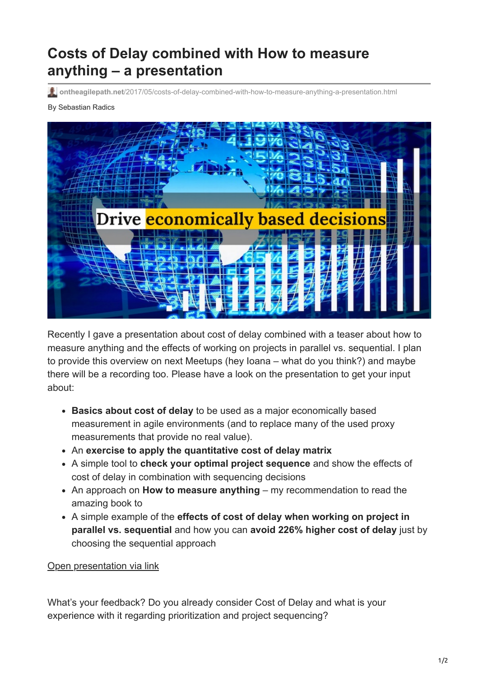## **Costs of Delay combined with How to measure anything – a presentation**

**ontheagilepath.net**[/2017/05/costs-of-delay-combined-with-how-to-measure-anything-a-presentation.html](https://www.ontheagilepath.net/2017/05/costs-of-delay-combined-with-how-to-measure-anything-a-presentation.html)

## By Sebastian Radics



Recently I gave a presentation about cost of delay combined with a teaser about how to measure anything and the effects of working on projects in parallel vs. sequential. I plan to provide this overview on next Meetups (hey Ioana – what do you think?) and maybe there will be a recording too. Please have a look on the presentation to get your input about:

- **Basics about cost of delay** to be used as a major economically based measurement in agile environments (and to replace many of the used proxy measurements that provide no real value).
- An **exercise to apply the quantitative cost of delay matrix**
- A simple tool to **check your optimal project sequence** and show the effects of cost of delay in combination with sequencing decisions
- An approach on **How to measure anything** my recommendation to read the amazing book to
- A simple example of the **effects of cost of delay when working on project in parallel vs. sequential** and how you can **avoid 226% higher cost of delay** just by choosing the sequential approach

## [Open presentation via link](https://www.slideshare.net/SebastianRadics/cost-of-delay-measurements-and-parallel-vs-sequential-project-processing)

What's your feedback? Do you already consider Cost of Delay and what is your experience with it regarding prioritization and project sequencing?